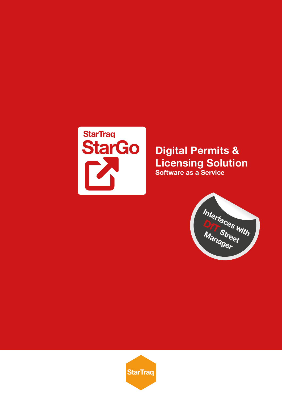

## **Digital Permits & Licensing Solution Software as a Service**



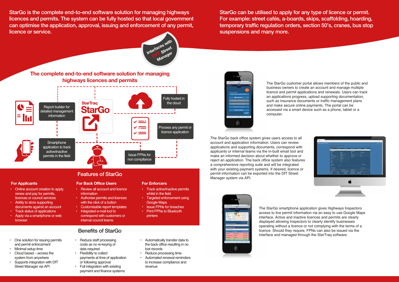StarGo is the complete end-to-end software solution for managing highways licences and permits. The system can be fully hosted so that local government can optimise the application, approval, issuing and enforcement of any permit, licence or service.

**Interfaces with** erfaces <sub>Street</sub> **Manager** 

StarGo can be utilised to apply for any type of licence or permit. For example: street cafés, a-boards, skips, scaffolding, hoarding, temporary traffic regulation orders, section 50's, cranes, bus stop suspensions and many more.

# Features of StarGo

- Online account creation to apply, renew and pay for permits, licences or council services
- Ability to store supporting documents against an account
- Track status of applications
- Apply via a smartphone or web browser

## Benefits of StarGo

### **For Applicants For Back Office Users For Enforcers**

- One solution for issuing permits and permit enforcement
- Minimal setup time
- Cloud based access the system from anywhere
- Supports integration with DfT Street Manager via API



- Review all account and licence information
- Authorise permits and licences with the click of a button
- Customisable report templates
- Integrated e-mail tool to correspond with customers or internal council teams

- Reduce staff processing costs as no re-keying of data required
- **Flexibility to collect**  payments at time of application or following approval
- Full integration with existing payment and finance systems
- Automatically transfer data to the back office resulting in no lost records
- Reduce processing time
- Automated renewal reminders to increase compliance and revenue



• Track active/inactive permits

whilst in the field

• Targeted enforcement using

**Issue FPNs for breaches Print FPNs to Bluetooth** 

Google Maps

printers



The StarGo smartphone application gives Highways Inspectors access to live permit information via an easy to use Google Maps interface. Active and inactive licences and permits are clearly displayed allowing Inspectors to clearly identify businesses operating without a licence or not complying with the terms of a licence. Should they require, FPNs can also be issued via the interface and managed through the StarTraq software.

The StarGo back office system gives users access to all account and application information. Users can review applications and supporting documents, correspond with applicants or internal teams via the in-built email tool and make an informed decision about whether to approve or reject an application. The back office system also features a comprehensive reporting suite and will be integrated with your existing payment systems. If desired, licence or permit information can be exported into the DfT Street Manager system via API.



The StarGo customer portal allows members of the public and business owners to create an account and manage multiple licence and permit applications and renewals. Users can track an applications progress, upload supporting documentation, such as insurance documents or traffic management plans and make secure online payments. The portal can be accessed via a smart device such as a phone, tablet or a computer.